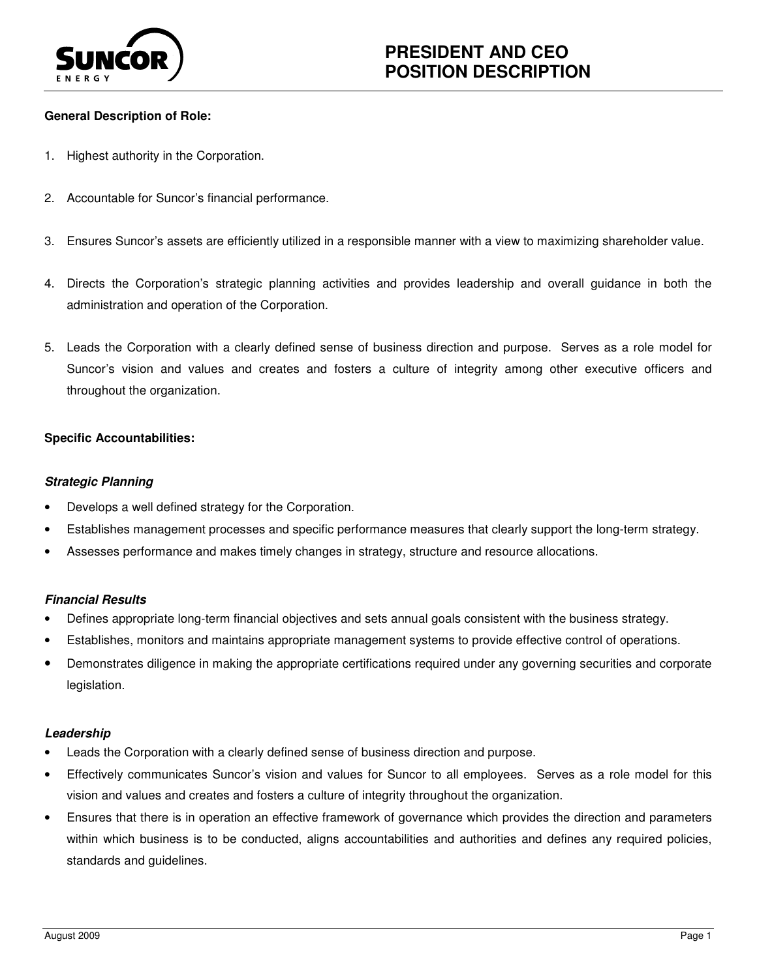

# **General Description of Role:**

- 1. Highest authority in the Corporation.
- $2.$ Accountable for Suncor's financial performance.
- 3. Ensures Suncor's assets are efficiently utilized in a responsible manner with a view to maximizing shareholder value.
- $4.$  administration and operation of the Corporation. Directs the Corporation's strategic planning activities and provides leadership and overall guidance in both the
- 5. Leads the Corporation with a clearly defined sense of business direction and purpose. Serves as a role model for Suncor's vision and values and creates and fosters a culture of integrity among other executive officers and throughout the organization.

# **Specific Accountabilities:**

# **Strategic Planning**

- Develops a well defined strategy for the Corporation.
- Establishes management processes and specific performance measures that clearly support the long-term strategy.
- Assesses performance and makes timely changes in strategy, structure and resource allocations.

# **Financial Results**

- Defines appropriate long-term financial objectives and sets annual goals consistent with the business strategy.
- Establishes, monitors and maintains appropriate management systems to provide effective control of operations.
- • Demonstrates diligence in making the appropriate certifications required under any governing securities and corporate legislation.

### **Leadership**

- Leads the Corporation with a clearly defined sense of business direction and purpose.
- • Effectively communicates Suncor's vision and values for Suncor to all employees. Serves as a role model for this vision and values and creates and fosters a culture of integrity throughout the organization.
- within which business is to be conducted, aligns accountabilities and authorities and defines any required policies, standards and guidelines. • Ensures that there is in operation an effective framework of governance which provides the direction and parameters